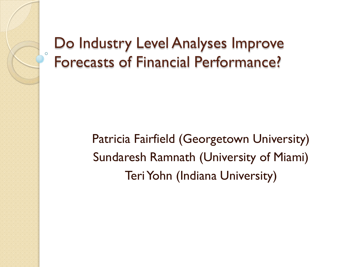#### Do Industry Level Analyses Improve Forecasts of Financial Performance?

Patricia Fairfield (Georgetown University) Sundaresh Ramnath (University of Miami) Teri Yohn (Indiana University)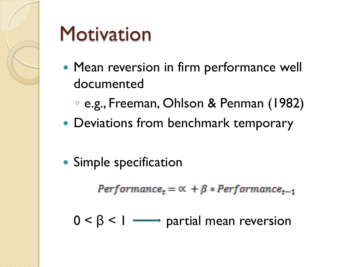

#### **Motivation**

- Mean reversion in firm performance well documented
	- e.g., Freeman, Ohlson & Penman (1982)
- Deviations from benchmark temporary
- Simple specification

 $Performance_t = \alpha + \beta * Performance_{t-1}$ 

 $0 < \beta < 1$   $\longrightarrow$  partial mean reversion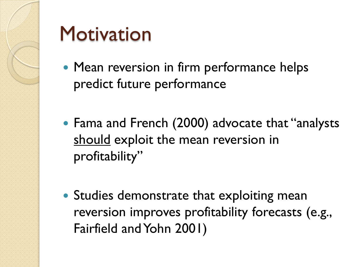

#### **Motivation**

- Mean reversion in firm performance helps predict future performance
- Fama and French (2000) advocate that "analysts should exploit the mean reversion in profitability"
- Studies demonstrate that exploiting mean reversion improves profitability forecasts (e.g., Fairfield and Yohn 2001)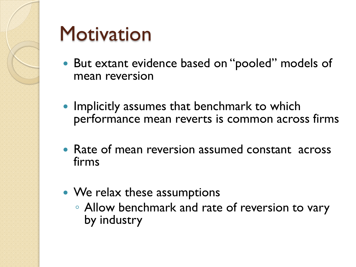

#### **Motivation**

- But extant evidence based on "pooled" models of mean reversion
- Implicitly assumes that benchmark to which performance mean reverts is common across firms
- Rate of mean reversion assumed constant across firms
- We relax these assumptions
	- Allow benchmark and rate of reversion to vary by industry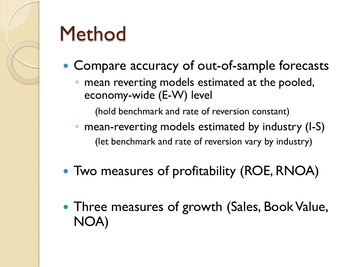#### **Method**

- Compare accuracy of out-of-sample forecasts
	- mean reverting models estimated at the pooled, economy-wide (E-W) level

(hold benchmark and rate of reversion constant)

- mean-reverting models estimated by industry (I-S) (let benchmark and rate of reversion vary by industry)
- Two measures of profitability (ROE, RNOA)
- Three measures of growth (Sales, Book Value, NOA)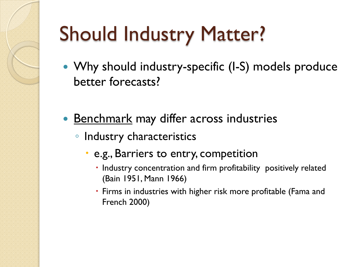- Why should industry-specific (I-S) models produce better forecasts?
- Benchmark may differ across industries
	- Industry characteristics
		- e.g., Barriers to entry, competition
			- Industry concentration and firm profitability positively related (Bain 1951, Mann 1966)
			- Firms in industries with higher risk more profitable (Fama and French 2000)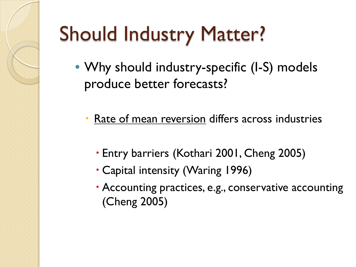- Why should industry-specific (I-S) models produce better forecasts?
	- Rate of mean reversion differs across industries
		- Entry barriers (Kothari 2001, Cheng 2005)
		- Capital intensity (Waring 1996)
		- Accounting practices, e.g., conservative accounting (Cheng 2005)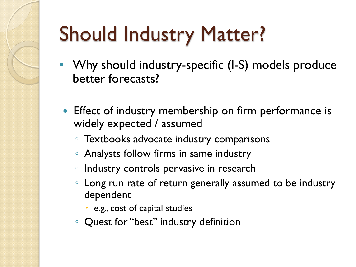- Why should industry-specific (I-S) models produce better forecasts?
	- Effect of industry membership on firm performance is widely expected / assumed
		- Textbooks advocate industry comparisons
		- Analysts follow firms in same industry
		- Industry controls pervasive in research
		- Long run rate of return generally assumed to be industry dependent
			- e.g., cost of capital studies
		- Quest for "best" industry definition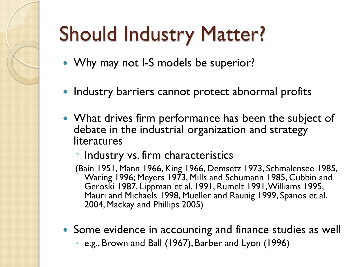- Why may not I-S models be superior?
- Industry barriers cannot protect abnormal profits
- What drives firm performance has been the subject of debate in the industrial organization and strategy literatures
	- Industry vs. firm characteristics
	- (Bain 1951, Mann 1966, King 1966, Demsetz 1973, Schmalensee 1985, Waring 1996; Meyers 1973, Mills and Schumann 1985, Cubbin and Geroski 1987, Lippman et al. 1991, Rumelt 1991, Williams 1995, Mauri and Michaels 1998, Mueller and Raunig 1999, Spanos et al. 2004, Mackay and Phillips 2005)
- Some evidence in accounting and finance studies as well
	- e.g., Brown and Ball (1967), Barber and Lyon (1996)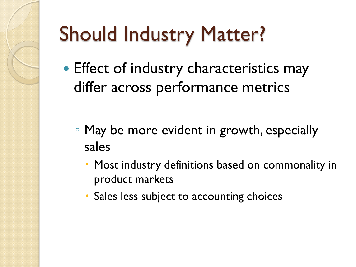- Effect of industry characteristics may differ across performance metrics
	- May be more evident in growth, especially sales
		- Most industry definitions based on commonality in product markets
		- Sales less subject to accounting choices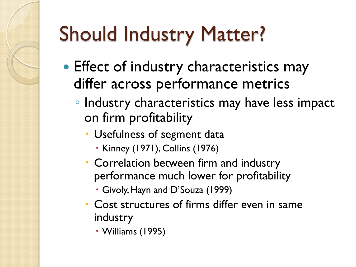- **Effect of industry characteristics may** differ across performance metrics
	- Industry characteristics may have less impact on firm profitability
		- Usefulness of segment data
			- Kinney (1971), Collins (1976)
		- Correlation between firm and industry performance much lower for profitability
			- Givoly, Hayn and D'Souza (1999)
		- Cost structures of firms differ even in same industry
			- Williams (1995)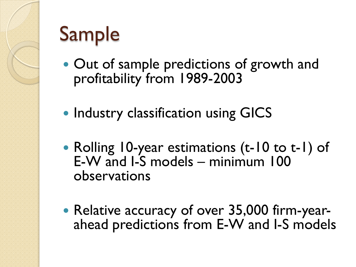#### Sample

- Out of sample predictions of growth and profitability from 1989-2003
- Industry classification using GICS
- Rolling 10-year estimations (t-10 to t-1) of E-W and I-S models – minimum 100 observations
- Relative accuracy of over 35,000 firm-year-<br>ahead predictions from E-W and I-S models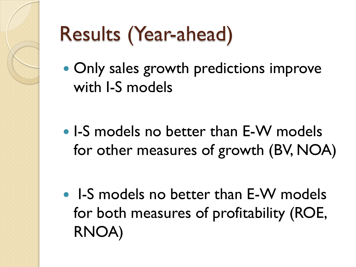#### Results (Year-ahead)

- Only sales growth predictions improve with I-S models
- I-S models no better than E-W models for other measures of growth (BV, NOA)
- I-S models no better than E-W models for both measures of profitability (ROE, RNOA)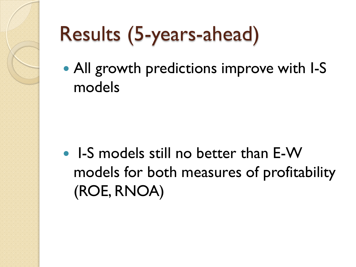## Results (5-years-ahead)

• All growth predictions improve with I-S models

• I-S models still no better than E-W models for both measures of profitability (ROE, RNOA)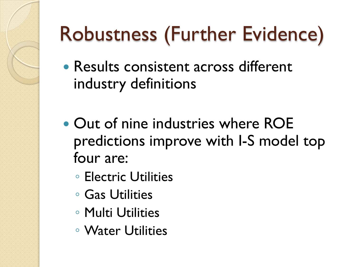- Results consistent across different industry definitions
- Out of nine industries where ROE predictions improve with I-S model top four are:
	- Electric Utilities
	- Gas Utilities
	- Multi Utilities
	- Water Utilities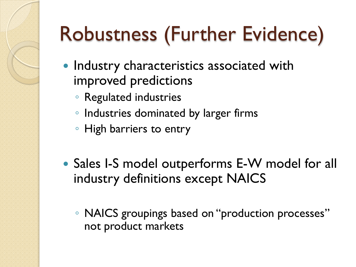- **Industry characteristics associated with** improved predictions
	- Regulated industries
	- Industries dominated by larger firms
	- High barriers to entry
- Sales I-S model outperforms E-W model for all industry definitions except NAICS
	- NAICS groupings based on "production processes" not product markets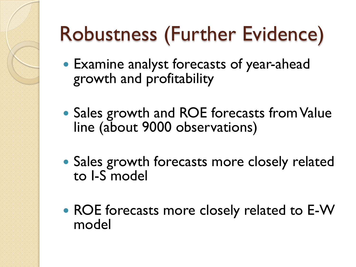- Examine analyst forecasts of year-ahead growth and profitability
- Sales growth and ROE forecasts from Value line (about 9000 observations)
- Sales growth forecasts more closely related to I-S model
- ROE forecasts more closely related to E-W model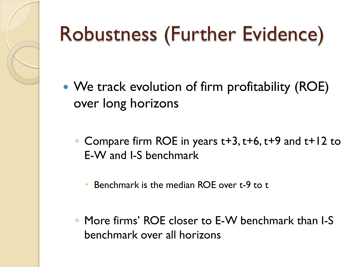- We track evolution of firm profitability (ROE) over long horizons
	- Compare firm ROE in years t+3, t+6, t+9 and t+12 to E-W and I-S benchmark
		- Benchmark is the median ROE over t-9 to t
	- More firms' ROE closer to E-W benchmark than I-S benchmark over all horizons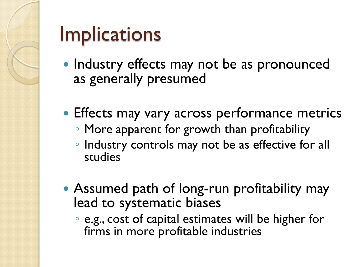

#### **Implications**

- Industry effects may not be as pronounced as generally presumed
- Effects may vary across performance metrics
	- More apparent for growth than profitability
	- Industry controls may not be as effective for all studies
- Assumed path of long-run profitability may lead to systematic biases
	- e.g., cost of capital estimates will be higher for firms in more profitable industries